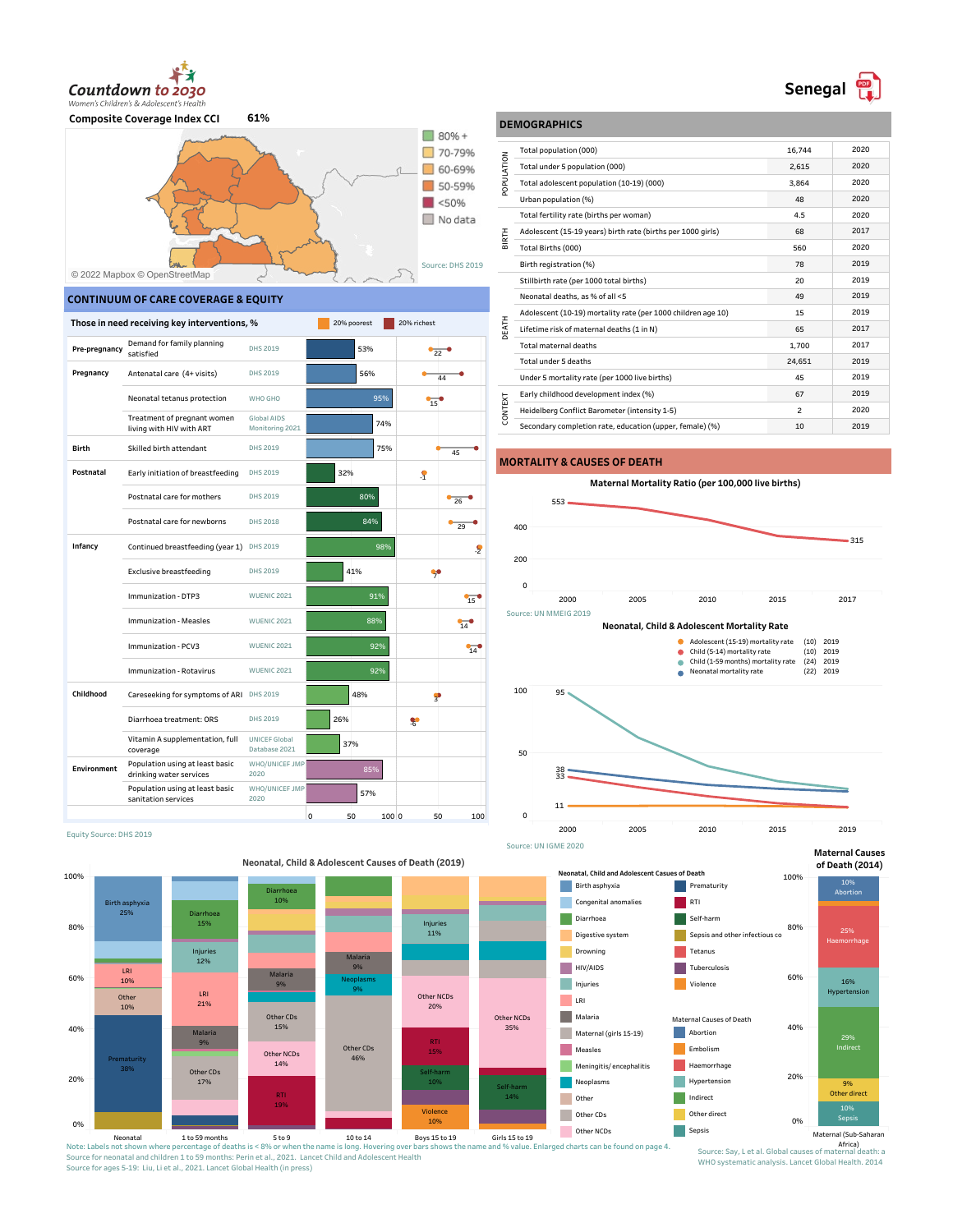



#### **CONTINUUM OF CARE COVERAGE & EQUITY**

|               | Those in need receiving key interventions, %               |                                       | 20% poorest | 20% richest        |
|---------------|------------------------------------------------------------|---------------------------------------|-------------|--------------------|
| Pre-pregnancy | Demand for family planning<br>satisfied                    | DHS 2019                              | 53%         | 22                 |
| Pregnancy     | Antenatal care (4+ visits)                                 | DHS 2019                              | 56%         | 44                 |
|               | Neonatal tetanus protection                                | WHO GHO                               | 95%         | 15                 |
|               | Treatment of pregnant women<br>living with HIV with ART    | Global AIDS<br>Monitoring 2021        | 74%         |                    |
| <b>Birth</b>  | Skilled birth attendant                                    | DHS 2019                              | 75%         | 45                 |
| Postnatal     | Early initiation of breastfeeding                          | DHS 2019                              | 32%         | $\mathcal{S}$      |
|               | Postnatal care for mothers                                 | DHS 2019                              | 80%         | 26                 |
|               | Postnatal care for newborns                                | <b>DHS 2018</b>                       | 84%         | 29                 |
| Infancy       | Continued breastfeeding (year 1)                           | DHS 2019                              | 98%         | .S                 |
|               | <b>Exclusive breastfeeding</b>                             | DHS 2019                              | 41%         |                    |
|               | Immunization - DTP3                                        | <b>WUENIC 2021</b>                    | 91%         | 15                 |
|               | <b>Immunization - Measles</b>                              | <b>WUENIC 2021</b>                    | 88%         | 14                 |
|               | Immunization - PCV3                                        | <b>WUENIC 2021</b>                    | 92%         | 14                 |
|               | Immunization - Rotavirus                                   | <b>WUENIC 2021</b>                    | 92%         |                    |
| Childhood     | Careseeking for symptoms of ARI DHS 2019                   |                                       | 48%         | ş                  |
|               | Diarrhoea treatment: ORS                                   | DHS 2019                              | 26%         | X                  |
|               | Vitamin A supplementation, full<br>coverage                | <b>UNICEF Global</b><br>Database 2021 | 37%         |                    |
| Environment   | Population using at least basic<br>drinking water services | WHO/UNICEF JMP<br>2020                | 85%         |                    |
|               | Population using at least basic<br>sanitation services     | WHO/UNICEF JMP<br>2020                | 57%         |                    |
|               |                                                            |                                       | 0<br>50     | 100 0<br>50<br>100 |

### **DEMOGRAPHICS**

|                | Total population (000)                                       | 16,744 | 2020 |
|----------------|--------------------------------------------------------------|--------|------|
| POPULATION     | Total under 5 population (000)                               | 2,615  | 2020 |
|                | Total adolescent population (10-19) (000)                    | 3.864  | 2020 |
|                | Urban population (%)                                         | 48     | 2020 |
|                | Total fertility rate (births per woman)                      | 4.5    | 2020 |
|                | Adolescent (15-19 years) birth rate (births per 1000 girls)  | 68     | 2017 |
| BIRTH          | Total Births (000)                                           | 560    | 2020 |
|                | Birth registration (%)                                       | 78     | 2019 |
|                | Stillbirth rate (per 1000 total births)                      | 20     | 2019 |
|                | Neonatal deaths, as % of all <5                              | 49     | 2019 |
|                | Adolescent (10-19) mortality rate (per 1000 children age 10) | 15     | 2019 |
| DEATH          | Lifetime risk of maternal deaths (1 in N)                    | 65     | 2017 |
|                | Total maternal deaths                                        | 1.700  | 2017 |
|                | Total under 5 deaths                                         | 24,651 | 2019 |
|                | Under 5 mortality rate (per 1000 live births)                | 45     | 2019 |
|                | Early childhood development index (%)                        | 67     | 2019 |
| <b>CONTEXT</b> | Heidelberg Conflict Barometer (intensity 1-5)                | 2      | 2020 |
|                | Secondary completion rate, education (upper, female) (%)     | 10     | 2019 |

#### **MORTALITY & CAUSES OF DEATH**







Equity Source: DHS 2019



#### Neonatal 1 to 59 months<br>Note: Labels not shown where percentage of deaths is < 3% or when the name is long. Hovering over bars shows the name and % value. Enlarged charts can be found on page 4. Source for neonatal and children 1 to 59 months: Perin et al., 2021. Lancet Child and Adolescent Health Source for ages 5-19: Liu, Li et al., 2021. Lancet Global Health (in press)



WHO systematic analysis. Lancet Global Health. 2014

20%

40%

60%

80%

Haemorrhage

Abortion

**Maternal Causes of Death (2014)**

> 16% Hypertensio

9% Other direct

29% **Indirect** 

100%

# **Senegal <b>P**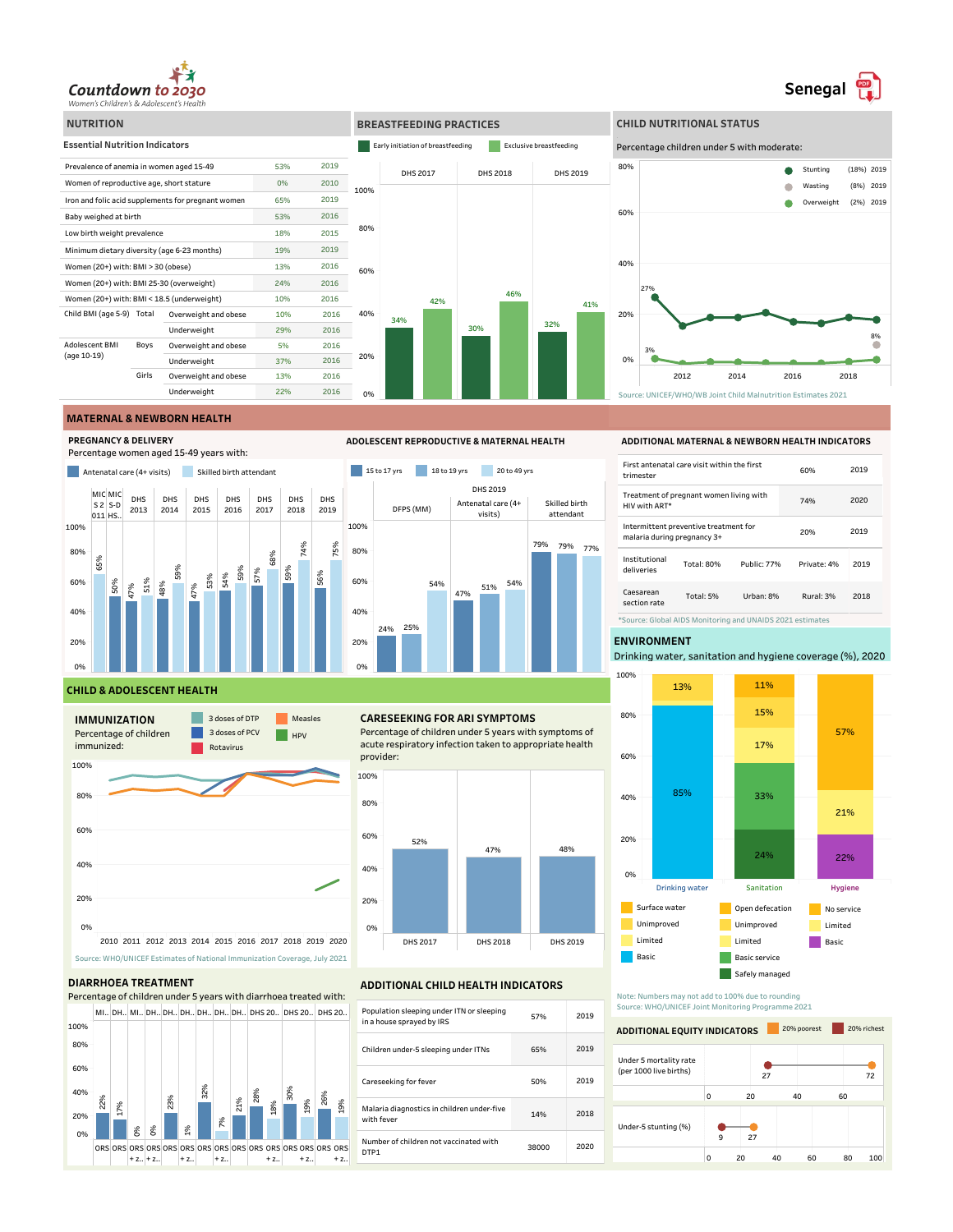

#### **BREASTFEEDING PRACTICES CHILD NUTRITIONAL STATUS NUTRITION Essential Nutrition Indicators Early initiation of breastfeeding Facility** Exclusive breastfeeding Percentage children under 5 with moderate: Prevalence of anemia in women aged 15-49 53% 2019 80% DHS 2017 DHS 2018 DHS 2019  $\bullet$ Stunting (18%) 2019 Women of reproductive age, short stature 0% 2010 Wasting  $\bullet$ (8%) 2019 100% Iron and folic acid supplements for pregnant women 65% 2019  $\bullet$ Overweight  $(2\%)$  2019 60% Baby weighed at birth 53% 2016 80% Low birth weight prevalence and the state of  $18\%$ 2015 Minimum dietary diversity (age 6-23 months) 19% 2019 40% 2016  $W$ omen (20+) with: BMI > 30 (obese)  $13\%$ 60% Women (20+) with: BMI 25-30 (overweight) 24% 2016 27% 46% Women (20+) with: BMI < 18.5 (underweight) 10% 2016 42% 41% Child BMI (age 5-9) Total Overweight and obese 10% 2016 40% 20% 34% 32% Underweight 29% 2016 30% Adolescent BMI Boys Overweight and obese 5% 2016 (age 10-19) 3% 20% Underweight 37% 2016 0% г Girls Overweight and obese 13% 2016 2012 2014 2016 2018 Underweight 22% 2016 <u>ሰ%</u> Source: UNICEF/WHO/WB Joint Child Malnutrition Estimates 2021

#### **MATERNAL & NEWBORN HEALTH**







## **ADOLESCENT REPRODUCTIVE & MATERNAL HEALTH**



#### **CHILD & ADOLESCENT HEALTH**



#### **DIARRHOEA TREATMENT**



#### **CARESEEKING FOR ARI SYMPTOMS**

Percentage of children under 5 years with symptoms of acute respiratory infection taken to appropriate health provider:



#### **ADDITIONAL CHILD HEALTH INDICATORS**

| Population sleeping under ITN or sleeping<br>in a house sprayed by IRS | 57%   | 2019 |
|------------------------------------------------------------------------|-------|------|
| Children under-5 sleeping under ITNs                                   | 65%   | 2019 |
| Careseeking for fever                                                  | 50%   | 2019 |
| Malaria diagnostics in children under-five<br>with fever               | 14%   | 2018 |
| Number of children not vaccinated with<br>DTP1                         | 38000 | 2020 |
|                                                                        |       |      |

#### **ADDITIONAL MATERNAL & NEWBORN HEALTH INDICATORS**

8%

●

**Senegal** 

| First antenatal care visit within the first<br>trimester             |  |  | 60%         | 2019 |  |
|----------------------------------------------------------------------|--|--|-------------|------|--|
| Treatment of pregnant women living with<br>HIV with ART*             |  |  | 74%         | 2020 |  |
| Intermittent preventive treatment for<br>malaria during pregnancy 3+ |  |  | 20%         | 2019 |  |
| Institutional<br>Total: 80%<br>Public: 77%<br>deliveries             |  |  | Private: 4% | 2019 |  |
| Caesarean<br>Total: 5%<br>Urban: 8%<br>section rate                  |  |  | Rural: 3%   | 2018 |  |
| *Source: Global AIDS Monitoring and UNAIDS 2021 estimates            |  |  |             |      |  |

#### **ENVIRONMENT**

Drinking water, sanitation and hygiene coverage (%), 2020



Note: Numbers may not add to 100% due to rounding Source: WHO/UNICEF Joint Monitoring Programme 2021

#### $\overline{27}$ 9 27 0 20 40 60 Under 5 mortality rate (per 1000 live births) 27 72 **ADDITIONAL EQUITY INDICATORS** 20% richest 0 20 40 60 80 100 Under-5 stunting (%)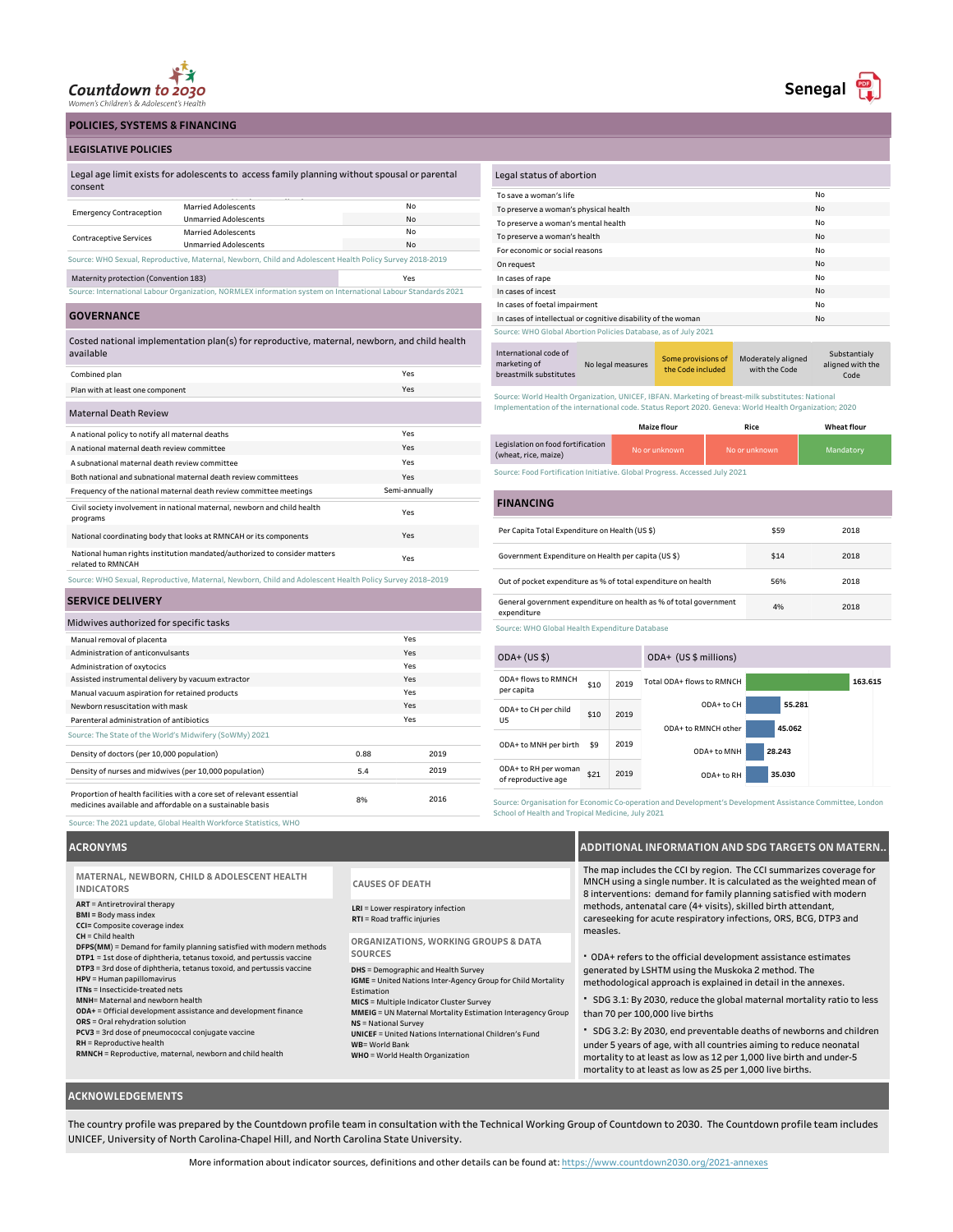

**POLICIES, SYSTEMS & FINANCING**

#### **LEGISLATIVE POLICIES**

| Legal age limit exists for adolescents to access family planning without spousal or parental |  |
|----------------------------------------------------------------------------------------------|--|
| consent                                                                                      |  |
|                                                                                              |  |
| .                                                                                            |  |

| <b>Emergency Contraception</b>                                                                               | <b>Married Adolescents</b>   | No |  |  |
|--------------------------------------------------------------------------------------------------------------|------------------------------|----|--|--|
|                                                                                                              | <b>Unmarried Adolescents</b> | No |  |  |
|                                                                                                              | <b>Married Adolescents</b>   | No |  |  |
| <b>Contraceptive Services</b>                                                                                | <b>Unmarried Adolescents</b> | No |  |  |
| Source: WHO Sexual, Reproductive, Maternal, Newborn, Child and Adolescent Health Policy Survey 2018-2019     |                              |    |  |  |
| Maternity protection (Convention 183)<br>Yes                                                                 |                              |    |  |  |
| Source: International Labour Organization, NORMLEX information system on International Labour Standards 2021 |                              |    |  |  |

**GOVERNANCE**

Costed national implementation plan(s) for reproductive, maternal, newborn, and child health available

| Combined plan                                                                                            | Yes           |
|----------------------------------------------------------------------------------------------------------|---------------|
| Plan with at least one component                                                                         | Yes           |
| <b>Maternal Death Review</b>                                                                             |               |
| A national policy to notify all maternal deaths                                                          | Yes           |
| A national maternal death review committee                                                               | Yes           |
| A subnational maternal death review committee                                                            | Yes           |
| Both national and subnational maternal death review committees                                           | Yes           |
| Frequency of the national maternal death review committee meetings                                       | Semi-annually |
| Civil society involvement in national maternal, newborn and child health<br>programs                     | Yes           |
| National coordinating body that looks at RMNCAH or its components                                        | Yes           |
| National human rights institution mandated/authorized to consider matters<br>related to RMNCAH           | Yes           |
| Source: WHO Sexual, Reproductive, Maternal, Newborn, Child and Adolescent Health Policy Survey 2018-2019 |               |

#### **SERVICE DELIVERY**

| Midwives authorized for specific tasks                                                                                             |      |      |  |  |
|------------------------------------------------------------------------------------------------------------------------------------|------|------|--|--|
| Manual removal of placenta                                                                                                         |      | Yes  |  |  |
| Administration of anticonvulsants<br>Yes                                                                                           |      |      |  |  |
| Yes<br>Administration of oxytocics                                                                                                 |      |      |  |  |
| Assisted instrumental delivery by vacuum extractor<br>Yes                                                                          |      |      |  |  |
| Yes<br>Manual vacuum aspiration for retained products                                                                              |      |      |  |  |
| Newborn resuscitation with mask<br>Yes                                                                                             |      |      |  |  |
| Yes<br>Parenteral administration of antibiotics                                                                                    |      |      |  |  |
| Source: The State of the World's Midwifery (SoWMy) 2021                                                                            |      |      |  |  |
| Density of doctors (per 10,000 population)                                                                                         | 0.88 | 2019 |  |  |
| Density of nurses and midwives (per 10,000 population)                                                                             | 5.4  | 2019 |  |  |
| Proportion of health facilities with a core set of relevant essential<br>medicines available and affordable on a sustainable basis | 8%   | 2016 |  |  |

| Legal status of abortion                                       |    |
|----------------------------------------------------------------|----|
| To save a woman's life                                         | No |
| To preserve a woman's physical health                          | No |
| To preserve a woman's mental health                            | No |
| To preserve a woman's health                                   | No |
| For economic or social reasons                                 | Nο |
| On request                                                     | No |
| In cases of rape                                               | No |
| In cases of incest                                             | No |
| In cases of foetal impairment                                  | No |
| In cases of intellectual or cognitive disability of the woman  | No |
| Source: WHO Global Abortion Policies Database, as of July 2021 |    |

Some provisions of<br>the Code included International code of marketing of breastmilk substitutes No legal measures Some provisions of Moderately aligned with the Code Substantialy aligned with the Code

Source: World Health Organization, UNICEF, IBFAN. Marketing of breast-milk substitutes: National Implementation of the international code. Status Report 2020. Geneva: World Health Organization; 2020

|                                                           | <b>Maize flour</b> | Rice          | <b>Wheat flour</b> |
|-----------------------------------------------------------|--------------------|---------------|--------------------|
| Legislation on food fortification<br>(wheat, rice, maize) | No or unknown      | No or unknown | Mandatory          |

Source: Food Fortification Initiative. Global Progress. Accessed July 2021

| <b>FINANCING</b>                                                                 |      |      |
|----------------------------------------------------------------------------------|------|------|
| Per Capita Total Expenditure on Health (US \$)                                   | \$59 | 2018 |
| Government Expenditure on Health per capita (US \$)                              | \$14 | 2018 |
| Out of pocket expenditure as % of total expenditure on health                    | 56%  | 2018 |
| General government expenditure on health as % of total government<br>expenditure | 4%   | 2018 |

Source: WHO Global Health Expenditure Database

| $ODA+ (US $)$                               |      |                     | ODA+ (US \$ millions)     |        |         |
|---------------------------------------------|------|---------------------|---------------------------|--------|---------|
| ODA+ flows to RMNCH<br>per capita           | \$10 | 2019                | Total ODA+ flows to RMNCH |        | 163.615 |
| ODA+ to CH per child<br>U <sub>5</sub>      | \$10 | 2019                | ODA+ to CH                | 55.281 |         |
|                                             |      | ODA+ to RMNCH other | 45.062                    |        |         |
| ODA+ to MNH per birth                       | \$9  | 2019                | ODA+ to MNH               | 28.243 |         |
|                                             |      |                     |                           |        |         |
| ODA+ to RH per woman<br>of reproductive age | \$21 | 2019                | ODA+ to RH                | 35.030 |         |
|                                             |      |                     |                           |        |         |

Source: Organisation for Economic Co-operation and Development's Development Assistance Committee, London School of Health and Tropical Medicine, July 2021

#### **ACRONYMS**

Source: The 2021 update, Global Health Workforce Statistics, WHO

| MATERNAL, NEWBORN, CHILD & ADOLESCENT HEALTH<br><b>INDICATORS</b>                                                                                                                                                                                                                                                                                                                                                                                                                                                                                                                                                                                                                                  | <b>CAUSES OF DEATH</b>                                                                                                                                                                                                                                                                                                                                            |
|----------------------------------------------------------------------------------------------------------------------------------------------------------------------------------------------------------------------------------------------------------------------------------------------------------------------------------------------------------------------------------------------------------------------------------------------------------------------------------------------------------------------------------------------------------------------------------------------------------------------------------------------------------------------------------------------------|-------------------------------------------------------------------------------------------------------------------------------------------------------------------------------------------------------------------------------------------------------------------------------------------------------------------------------------------------------------------|
| <b>ART</b> = Antiretroviral therapy<br>BMI = Body mass index<br>CCI= Composite coverage index<br>$CH = Child$ health<br>DFPS(MM) = Demand for family planning satisfied with modern methods<br>DTP1 = 1st dose of diphtheria, tetanus toxoid, and pertussis vaccine<br>DTP3 = 3rd dose of diphtheria, tetanus toxoid, and pertussis vaccine<br>HPV = Human papillomavirus<br>ITNs = Insecticide-treated nets<br>MNH= Maternal and newborn health<br>ODA+ = Official development assistance and development finance<br>ORS = Oral rehydration solution<br>PCV3 = 3rd dose of pneumococcal conjugate vaccine<br>RH = Reproductive health<br>RMNCH = Reproductive, maternal, newborn and child health | LRI = Lower respiratory infection<br>RTI = Road traffic injuries                                                                                                                                                                                                                                                                                                  |
|                                                                                                                                                                                                                                                                                                                                                                                                                                                                                                                                                                                                                                                                                                    | ORGANIZATIONS, WORKING GROUPS & DATA<br>SOURCES                                                                                                                                                                                                                                                                                                                   |
|                                                                                                                                                                                                                                                                                                                                                                                                                                                                                                                                                                                                                                                                                                    | DHS = Demographic and Health Survey<br>IGME = United Nations Inter-Agency Group for Child Mo<br>Estimation<br>MICS = Multiple Indicator Cluster Survey<br><b>MMEIG</b> = UN Maternal Mortality Estimation Interagenc<br>NS = National Survey<br><b>UNICEF</b> = United Nations International Children's Fund<br>WB= World Bank<br>WHO = World Health Organization |

**ADDITIONAL INFORMATION AND SDG TARGETS ON MATERN..** The map includes the CCI by region. The CCI summarizes coverage for

MNCH using a single number. It is calculated as the weighted mean of 8 interventions: demand for family planning satisfied with modern methods, antenatal care (4+ visits), skilled birth attendant, careseeking for acute respiratory infections, ORS, BCG, DTP3 and measles.

**·** ODA+ refers to the official development assistance estimates generated by LSHTM using the Muskoka 2 method. The methodological approach is explained in detail in the annexes.

**·** SDG 3.1: By 2030, reduce the global maternal mortality ratio to less than 70 per 100,000 live births

**·** SDG 3.2: By 2030, end preventable deaths of newborns and children under 5 years of age, with all countries aiming to reduce neonatal mortality to at least as low as 12 per 1,000 live birth and under-5 mortality to at least as low as 25 per 1,000 live births.

#### **ACKNOWLEDGEMENTS**

The country profile was prepared by the Countdown profile team in consultation with the Technical Working Group of Countdown to 2030. The Countdown profile team includes UNICEF, University of North Carolina-Chapel Hill, and North Carolina State University.

**Child Mortality** 

**Meragency Group** 

# **Senegal**